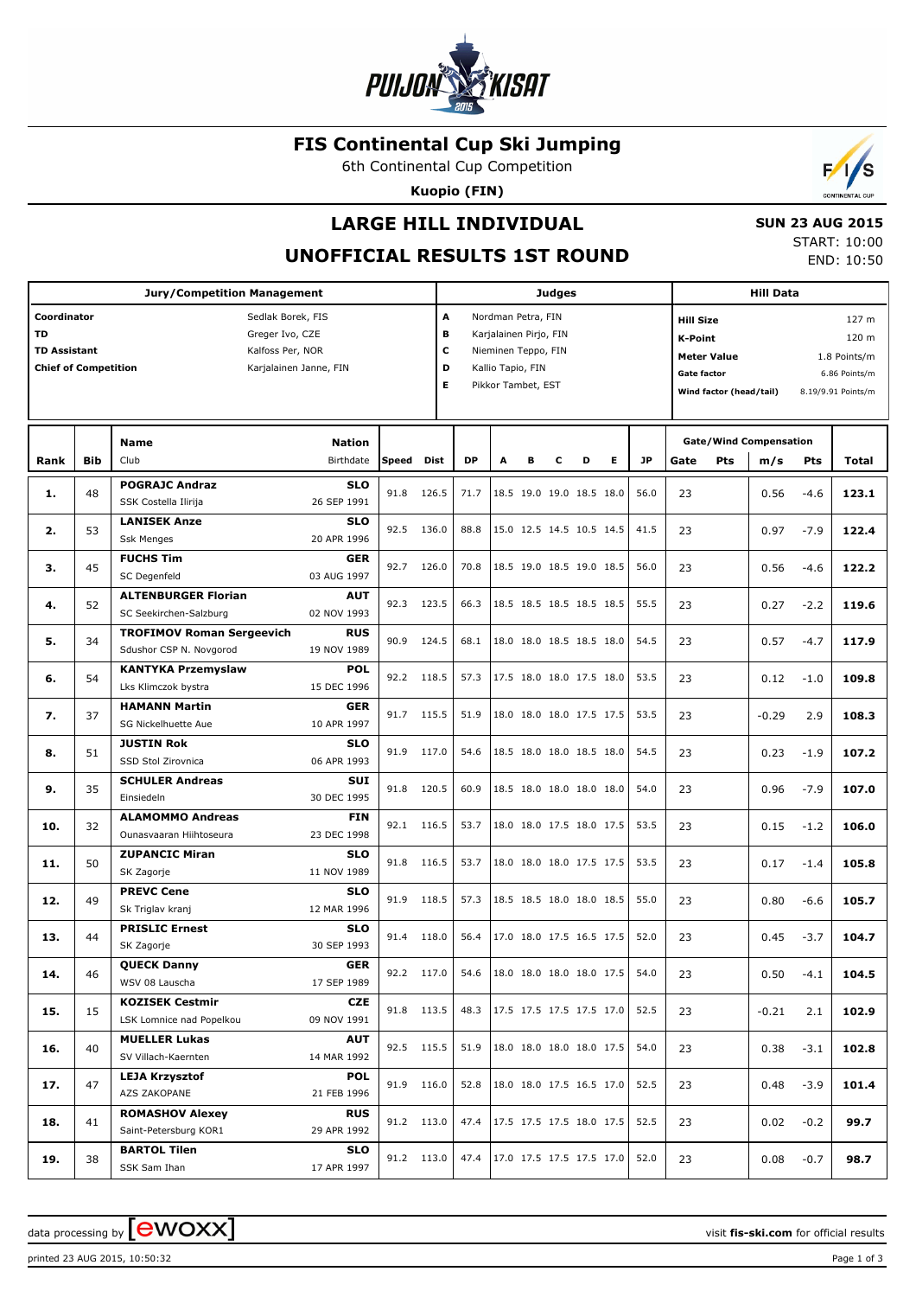

## **FIS Continental Cup Ski Jumping**

6th Continental Cup Competition

**Kuopio (FIN)**

## **LARGE HILL INDIVIDUAL**

**SU** 

# **UNOFFICIAL RESULTS 1ST ROUND**

|  | N 23 AUG 2015 |
|--|---------------|
|  | START: 10:00  |
|  | END: 10:50    |

 $\sqrt{ }$ 

|                             | <b>Jury/Competition Management</b> |                                    |                        |       |            |                        |                          | <b>Judges</b>            |   |                                 |   |           |                                    |                         | <b>Hill Data</b>              |               |                    |  |  |
|-----------------------------|------------------------------------|------------------------------------|------------------------|-------|------------|------------------------|--------------------------|--------------------------|---|---------------------------------|---|-----------|------------------------------------|-------------------------|-------------------------------|---------------|--------------------|--|--|
| Coordinator                 |                                    |                                    | Sedlak Borek, FIS      |       | Α          |                        | Nordman Petra, FIN       |                          |   |                                 |   |           | <b>Hill Size</b>                   |                         |                               |               | 127 m              |  |  |
| TD                          |                                    |                                    | Greger Ivo, CZE        |       | В          | Karjalainen Pirjo, FIN |                          |                          |   |                                 |   |           | K-Point<br>120 m                   |                         |                               |               |                    |  |  |
| <b>TD Assistant</b>         |                                    |                                    | Kalfoss Per, NOR       |       | C          | Nieminen Teppo, FIN    |                          |                          |   |                                 |   |           | <b>Meter Value</b><br>1.8 Points/m |                         |                               |               |                    |  |  |
| <b>Chief of Competition</b> |                                    |                                    | Karjalainen Janne, FIN |       | D          |                        | Kallio Tapio, FIN        |                          |   |                                 |   |           | Gate factor                        |                         |                               | 6.86 Points/m |                    |  |  |
|                             |                                    |                                    |                        |       | Е          |                        | Pikkor Tambet, EST       |                          |   |                                 |   |           |                                    | Wind factor (head/tail) |                               |               | 8.19/9.91 Points/m |  |  |
|                             |                                    |                                    |                        |       |            |                        |                          |                          |   |                                 |   |           |                                    |                         |                               |               |                    |  |  |
|                             |                                    |                                    |                        |       |            |                        |                          |                          |   |                                 |   |           |                                    |                         |                               |               |                    |  |  |
|                             |                                    | <b>Name</b>                        | <b>Nation</b>          |       |            |                        |                          |                          |   |                                 |   |           |                                    |                         | <b>Gate/Wind Compensation</b> |               |                    |  |  |
| Rank                        | Bib                                | Club                               | Birthdate              | Speed | Dist       | <b>DP</b>              | A                        | в                        | c | D                               | Е | <b>JP</b> | Gate                               | Pts                     | m/s                           | Pts           | Total              |  |  |
| 1.                          | 48                                 | <b>POGRAJC Andraz</b>              | <b>SLO</b>             | 91.8  | 126.5      | 71.7                   |                          |                          |   | 18.5 19.0 19.0 18.5 18.0        |   | 56.0      | 23                                 |                         | 0.56                          | $-4.6$        | 123.1              |  |  |
|                             |                                    | SSK Costella Ilirija               | 26 SEP 1991            |       |            |                        |                          |                          |   |                                 |   |           |                                    |                         |                               |               |                    |  |  |
| 2.                          | 53                                 | <b>LANISEK Anze</b>                | <b>SLO</b>             | 92.5  | 136.0      | 88.8                   |                          |                          |   | 15.0 12.5 14.5 10.5 14.5        |   | 41.5      | 23                                 |                         | 0.97                          | $-7.9$        | 122.4              |  |  |
|                             |                                    | <b>Ssk Menges</b>                  | 20 APR 1996            |       |            |                        |                          |                          |   |                                 |   |           |                                    |                         |                               |               |                    |  |  |
| з.                          | 45                                 | <b>FUCHS Tim</b>                   | <b>GER</b>             | 92.7  | 126.0      | 70.8                   |                          |                          |   | 18.5 19.0 18.5 19.0 18.5        |   | 56.0      | 23                                 |                         | 0.56                          | $-4.6$        | 122.2              |  |  |
|                             |                                    | SC Degenfeld                       | 03 AUG 1997            |       |            |                        |                          |                          |   |                                 |   |           |                                    |                         |                               |               |                    |  |  |
| 4.                          | 52                                 | <b>ALTENBURGER Florian</b>         | <b>AUT</b>             | 92.3  | 123.5      | 66.3                   |                          |                          |   | 18.5 18.5 18.5 18.5 18.5        |   | 55.5      | 23                                 |                         | 0.27                          | $-2.2$        | 119.6              |  |  |
|                             |                                    | SC Seekirchen-Salzburg             | 02 NOV 1993            |       |            |                        |                          |                          |   |                                 |   |           |                                    |                         |                               |               |                    |  |  |
| 5.                          | 34                                 | <b>TROFIMOV Roman Sergeevich</b>   | <b>RUS</b>             | 90.9  | 124.5      | 68.1                   |                          |                          |   | 18.0 18.0 18.5 18.5 18.0        |   | 54.5      | 23                                 |                         | 0.57                          | $-4.7$        | 117.9              |  |  |
|                             |                                    | Sdushor CSP N. Novgorod            | 19 NOV 1989            |       |            |                        |                          |                          |   |                                 |   |           |                                    |                         |                               |               |                    |  |  |
| 6.                          | 54                                 | <b>KANTYKA Przemyslaw</b>          | <b>POL</b>             | 92.2  | 118.5      | 57.3                   | 17.5 18.0 18.0 17.5 18.0 |                          |   |                                 |   | 53.5      | 23                                 |                         | 0.12                          | $-1.0$        | 109.8              |  |  |
|                             |                                    | Lks Klimczok bystra                | 15 DEC 1996            |       |            |                        |                          |                          |   |                                 |   |           |                                    |                         |                               |               |                    |  |  |
|                             | 37<br>7.                           | <b>HAMANN Martin</b>               | <b>GER</b>             | 91.7  | 115.5      | 51.9                   |                          | 18.0 18.0 18.0 17.5 17.5 |   |                                 |   | 53.5      | 23                                 |                         | $-0.29$                       | 2.9           | 108.3              |  |  |
|                             |                                    | 10 APR 1997<br>SG Nickelhuette Aue |                        |       |            |                        |                          |                          |   |                                 |   |           |                                    |                         |                               |               |                    |  |  |
| 8.                          | 51                                 | <b>JUSTIN Rok</b>                  | <b>SLO</b>             | 91.9  | 117.0      | 54.6                   | 18.5 18.0 18.0 18.5 18.0 |                          |   |                                 |   | 54.5      | 23                                 |                         | 0.23                          | $-1.9$        | 107.2              |  |  |
|                             |                                    | SSD Stol Zirovnica                 | 06 APR 1993            |       |            |                        |                          |                          |   |                                 |   |           |                                    |                         |                               |               |                    |  |  |
| 9.                          | 35                                 | <b>SCHULER Andreas</b>             | <b>SUI</b>             | 91.8  | 120.5      | 60.9                   |                          |                          |   | 18.5 18.0 18.0 18.0 18.0        |   | 54.0      | 23                                 |                         | 0.96                          | $-7.9$        | 107.0              |  |  |
|                             |                                    | Einsiedeln                         | 30 DEC 1995            |       |            |                        |                          |                          |   |                                 |   |           |                                    |                         |                               |               |                    |  |  |
| 10.                         | 32                                 | <b>ALAMOMMO Andreas</b>            | <b>FIN</b>             | 92.1  | 116.5      | 53.7                   |                          |                          |   | 18.0 18.0 17.5 18.0 17.5        |   | 53.5      | 23                                 |                         | 0.15                          | $-1.2$        | 106.0              |  |  |
|                             |                                    | Ounasvaaran Hiihtoseura            | 23 DEC 1998            |       |            |                        |                          |                          |   |                                 |   |           |                                    |                         |                               |               |                    |  |  |
| 11.                         | 50                                 | <b>ZUPANCIC Miran</b>              | <b>SLO</b>             | 91.8  | 116.5      | 53.7                   |                          |                          |   | 18.0 18.0 18.0 17.5 17.5        |   | 53.5      | 23                                 |                         | 0.17                          | $-1.4$        | 105.8              |  |  |
|                             |                                    | SK Zagorje                         | 11 NOV 1989            |       |            |                        |                          |                          |   |                                 |   |           |                                    |                         |                               |               |                    |  |  |
| 12.                         | 49                                 | <b>PREVC Cene</b>                  | <b>SLO</b>             | 91.9  | 118.5      | 57.3                   |                          |                          |   | 18.5 18.5 18.0 18.0 18.5        |   | 55.0      | 23                                 |                         | 0.80                          | $-6.6$        | 105.7              |  |  |
|                             |                                    | Sk Triglav kranj                   | 12 MAR 1996            |       |            |                        |                          |                          |   |                                 |   |           |                                    |                         |                               |               |                    |  |  |
| 13.                         | 44                                 | <b>PRISLIC Ernest</b>              | <b>SLO</b>             |       | 91.4 118.0 | 56.4                   |                          |                          |   | 17.0 18.0 17.5 16.5 17.5        |   | 52.0      | 23                                 |                         | 0.45                          | $-3.7$        | 104.7              |  |  |
|                             |                                    | SK Zagorje                         | 30 SEP 1993            |       |            |                        |                          |                          |   |                                 |   |           |                                    |                         |                               |               |                    |  |  |
| 14.                         | 46                                 | <b>QUECK Danny</b>                 | <b>GER</b>             |       | 92.2 117.0 |                        |                          |                          |   | 54.6   18.0 18.0 18.0 18.0 17.5 |   | 54.0      | 23                                 |                         | 0.50                          | $-4.1$        | 104.5              |  |  |
|                             |                                    | WSV 08 Lauscha                     | 17 SEP 1989            |       |            |                        |                          |                          |   |                                 |   |           |                                    |                         |                               |               |                    |  |  |
| 15.                         | 15                                 | <b>KOZISEK Cestmir</b>             | <b>CZE</b>             |       | 91.8 113.5 |                        |                          |                          |   | 48.3   17.5 17.5 17.5 17.5 17.0 |   | 52.5      | 23                                 |                         | $-0.21$                       | 2.1           | 102.9              |  |  |
|                             |                                    | LSK Lomnice nad Popelkou           | 09 NOV 1991            |       |            |                        |                          |                          |   |                                 |   |           |                                    |                         |                               |               |                    |  |  |
| 16.                         | 40                                 | <b>MUELLER Lukas</b>               | <b>AUT</b>             |       | 92.5 115.5 | 51.9                   |                          |                          |   | 18.0 18.0 18.0 18.0 17.5        |   | 54.0      | 23                                 |                         | 0.38                          | $-3.1$        | 102.8              |  |  |
|                             |                                    | SV Villach-Kaernten                | 14 MAR 1992            |       |            |                        |                          |                          |   |                                 |   |           |                                    |                         |                               |               |                    |  |  |
| 17.                         | 47                                 | <b>LEJA Krzysztof</b>              | <b>POL</b>             |       | 91.9 116.0 | 52.8                   |                          |                          |   | $18.0$ 18.0 17.5 16.5 17.0      |   | 52.5      | 23                                 |                         | 0.48                          | $-3.9$        | 101.4              |  |  |
|                             |                                    | AZS ZAKOPANE                       | 21 FEB 1996            |       |            |                        |                          |                          |   |                                 |   |           |                                    |                         |                               |               |                    |  |  |
| 18.                         | 41                                 | <b>ROMASHOV Alexey</b>             | <b>RUS</b>             |       | 91.2 113.0 |                        |                          |                          |   | 47.4   17.5 17.5 17.5 18.0 17.5 |   | 52.5      | 23                                 |                         | 0.02                          | $-0.2$        | 99.7               |  |  |
|                             |                                    | Saint-Petersburg KOR1              | 29 APR 1992            |       |            |                        |                          |                          |   |                                 |   |           |                                    |                         |                               |               |                    |  |  |
| 19.                         | 38                                 | <b>BARTOL Tilen</b>                | <b>SLO</b>             |       | 91.2 113.0 |                        |                          |                          |   | 47.4 17.0 17.5 17.5 17.5 17.0   |   | 52.0      | 23                                 |                         | 0.08                          | $-0.7$        | 98.7               |  |  |
|                             |                                    | SSK Sam Ihan                       | 17 APR 1997            |       |            |                        |                          |                          |   |                                 |   |           |                                    |                         |                               |               |                    |  |  |

data processing by **CWOXX** and the set of the set of the visit **fis-ski.com** for official results

printed 23 AUG 2015, 10:50:32 Page 1 of 3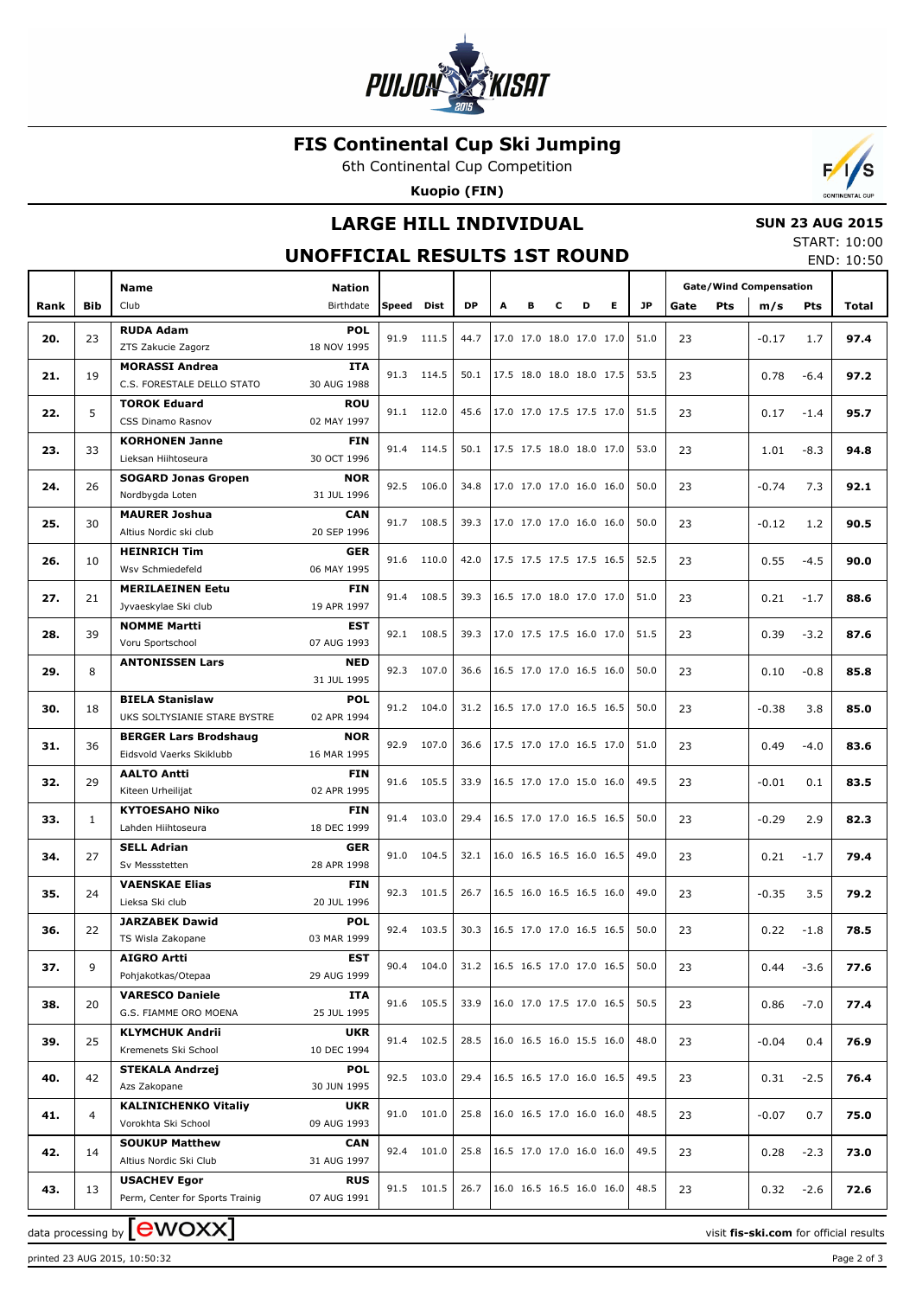

## **FIS Continental Cup Ski Jumping**

6th Continental Cup Competition

**Kuopio (FIN)**



## **LARGE HILL INDIVIDUAL**

#### **SUN 23 AUG 2015**

#### **UNOFFICIAL RESULTS 1ST ROUND**

START: 10:00 END: 10:50

|      |              | <b>Name</b>                                    | <b>Nation</b>             |       |             |                                 |   |   |   |                          |                          |           | <b>Gate/Wind Compensation</b> |         |            |       |
|------|--------------|------------------------------------------------|---------------------------|-------|-------------|---------------------------------|---|---|---|--------------------------|--------------------------|-----------|-------------------------------|---------|------------|-------|
| Rank | <b>Bib</b>   | Club                                           | Birthdate                 | Speed | <b>Dist</b> | <b>DP</b>                       | A | в | C | D                        | E.                       | <b>JP</b> | <b>Pts</b><br>Gate            | m/s     | <b>Pts</b> | Total |
|      |              | <b>RUDA Adam</b>                               | <b>POL</b>                |       |             |                                 |   |   |   |                          |                          |           |                               |         |            |       |
| 20.  | 23           | ZTS Zakucie Zagorz                             | 18 NOV 1995               |       | 91.9 111.5  | 44.7                            |   |   |   | 17.0 17.0 18.0 17.0 17.0 |                          | 51.0      | 23                            | $-0.17$ | 1.7        | 97.4  |
| 21.  | 19           | <b>MORASSI Andrea</b>                          | <b>ITA</b>                |       | 91.3 114.5  | 50.1                            |   |   |   | 17.5 18.0 18.0 18.0 17.5 |                          | 53.5      | 23                            | 0.78    | $-6.4$     | 97.2  |
|      |              | C.S. FORESTALE DELLO STATO                     | 30 AUG 1988               |       |             |                                 |   |   |   |                          |                          |           |                               |         |            |       |
| 22.  | 5            | <b>TOROK Eduard</b>                            | <b>ROU</b>                |       | 91.1 112.0  | 45.6                            |   |   |   | 17.0 17.0 17.5 17.5 17.0 |                          | 51.5      | 23                            | 0.17    | $-1.4$     | 95.7  |
|      |              | CSS Dinamo Rasnov                              | 02 MAY 1997               |       |             |                                 |   |   |   |                          |                          |           |                               |         |            |       |
| 23.  | 33           | <b>KORHONEN Janne</b>                          | <b>FIN</b>                |       | 91.4 114.5  | 50.1                            |   |   |   | 17.5 17.5 18.0 18.0 17.0 |                          | 53.0      | 23                            | 1.01    | $-8.3$     | 94.8  |
|      |              | Lieksan Hiihtoseura                            | 30 OCT 1996               |       |             |                                 |   |   |   |                          |                          |           |                               |         |            |       |
| 24.  | 26           | <b>SOGARD Jonas Gropen</b>                     | <b>NOR</b>                |       | 92.5 106.0  | 34.8                            |   |   |   | 17.0 17.0 17.0 16.0 16.0 |                          | 50.0      | 23                            | $-0.74$ | 7.3        | 92.1  |
|      |              | Nordbygda Loten                                | 31 JUL 1996               |       |             |                                 |   |   |   |                          |                          |           |                               |         |            |       |
| 25.  | 30           | <b>MAURER Joshua</b><br>Altius Nordic ski club | <b>CAN</b><br>20 SEP 1996 |       | 91.7 108.5  | 39.3                            |   |   |   | 17.0 17.0 17.0 16.0 16.0 |                          | 50.0      | 23                            | $-0.12$ | 1.2        | 90.5  |
|      |              | <b>HEINRICH Tim</b>                            | <b>GER</b>                |       |             |                                 |   |   |   |                          |                          |           |                               |         |            |       |
| 26.  | 10           | Wsv Schmiedefeld                               | 06 MAY 1995               |       | 91.6 110.0  | 42.0                            |   |   |   | 17.5 17.5 17.5 17.5 16.5 |                          | 52.5      | 23                            | 0.55    | $-4.5$     | 90.0  |
|      |              | <b>MERILAEINEN Eetu</b>                        | <b>FIN</b>                |       |             |                                 |   |   |   |                          |                          |           |                               |         |            |       |
| 27.  | 21           | Jyvaeskylae Ski club                           | 19 APR 1997               | 91.4  | 108.5       | 39.3                            |   |   |   | 16.5 17.0 18.0 17.0 17.0 |                          | 51.0      | 23                            | 0.21    | $-1.7$     | 88.6  |
|      |              | <b>NOMME Martti</b>                            | <b>EST</b>                |       |             |                                 |   |   |   |                          |                          |           |                               |         |            |       |
| 28.  | 39           | Voru Sportschool                               | 07 AUG 1993               |       | 92.1 108.5  | 39.3                            |   |   |   | 17.0 17.5 17.5 16.0 17.0 |                          | 51.5      | 23                            | 0.39    | $-3.2$     | 87.6  |
|      |              | <b>ANTONISSEN Lars</b>                         | <b>NED</b>                |       |             |                                 |   |   |   |                          |                          |           |                               |         |            |       |
| 29.  | 8            |                                                | 31 JUL 1995               |       | 92.3 107.0  | 36.6                            |   |   |   | 16.5 17.0 17.0 16.5 16.0 |                          | 50.0      | 23                            | 0.10    | $-0.8$     | 85.8  |
|      |              | <b>BIELA Stanislaw</b>                         | <b>POL</b>                |       |             |                                 |   |   |   |                          |                          |           |                               |         |            |       |
| 30.  | 18           | UKS SOLTYSIANIE STARE BYSTRE                   | 02 APR 1994               |       | 91.2 104.0  | 31.2                            |   |   |   | 16.5 17.0 17.0 16.5 16.5 |                          | 50.0      | 23                            | $-0.38$ | 3.8        | 85.0  |
|      | 36           | <b>BERGER Lars Brodshaug</b>                   | <b>NOR</b>                | 92.9  | 107.0       | 36.6                            |   |   |   | 17.5 17.0 17.0 16.5 17.0 |                          | 51.0      | 23                            |         | $-4.0$     |       |
| 31.  |              | Eidsvold Vaerks Skiklubb                       | 16 MAR 1995               |       |             |                                 |   |   |   |                          |                          |           |                               | 0.49    |            | 83.6  |
| 32.  | 29           | <b>AALTO Antti</b>                             | <b>FIN</b>                |       | 91.6 105.5  | 33.9                            |   |   |   | 16.5 17.0 17.0 15.0 16.0 |                          | 49.5      | 23                            | $-0.01$ | 0.1        | 83.5  |
|      |              | Kiteen Urheilijat                              | 02 APR 1995               |       |             |                                 |   |   |   |                          |                          |           |                               |         |            |       |
| 33.  | $\mathbf{1}$ | <b>KYTOESAHO Niko</b>                          | <b>FIN</b>                | 91.4  | 103.0       | 29.4                            |   |   |   | 16.5 17.0 17.0 16.5 16.5 |                          | 50.0      | 23                            | $-0.29$ | 2.9        | 82.3  |
|      |              | Lahden Hiihtoseura                             | 18 DEC 1999               |       |             |                                 |   |   |   |                          |                          |           |                               |         |            |       |
| 34.  | 27           | <b>SELL Adrian</b>                             | <b>GER</b>                |       | 91.0 104.5  | 32.1                            |   |   |   | 16.0 16.5 16.5 16.0 16.5 |                          | 49.0      | 23                            | 0.21    | $-1.7$     | 79.4  |
|      |              | Sv Messstetten                                 | 28 APR 1998               |       |             |                                 |   |   |   |                          |                          |           |                               |         |            |       |
| 35.  | 24           | <b>VAENSKAE Elias</b><br>Lieksa Ski club       | <b>FIN</b><br>20 JUL 1996 |       | 92.3 101.5  | 26.7                            |   |   |   | 16.5 16.0 16.5 16.5 16.0 |                          | 49.0      | 23                            | $-0.35$ | 3.5        | 79.2  |
|      |              | <b>JARZABEK Dawid</b>                          | <b>POL</b>                |       |             |                                 |   |   |   |                          |                          |           |                               |         |            |       |
| 36.  | 22           | TS Wisla Zakopane                              | 03 MAR 1999               |       | 92.4 103.5  | 30.3                            |   |   |   | 16.5 17.0 17.0 16.5 16.5 |                          | 50.0      | 23                            | 0.22    | $-1.8$     | 78.5  |
|      |              | <b>AIGRO Artti</b>                             | <b>EST</b>                |       |             |                                 |   |   |   |                          |                          |           |                               |         |            |       |
| 37.  | 9            | Pohjakotkas/Otepaa                             | 29 AUG 1999               |       | 90.4 104.0  | 31.2   16.5 16.5 17.0 17.0 16.5 |   |   |   |                          |                          | 50.0      | 23                            | 0.44    | $-3.6$     | 77.6  |
|      |              | <b>VARESCO Daniele</b>                         | ITA                       |       |             |                                 |   |   |   |                          |                          |           |                               |         |            |       |
| 38.  | 20           | G.S. FIAMME ORO MOENA                          | 25 JUL 1995               |       | 91.6 105.5  | 33.9                            |   |   |   | 16.0 17.0 17.5 17.0 16.5 |                          | 50.5      | 23                            | 0.86    | $-7.0$     | 77.4  |
|      |              | <b>KLYMCHUK Andrii</b>                         | <b>UKR</b>                |       |             |                                 |   |   |   |                          |                          |           |                               |         |            |       |
| 39.  | 25           | Kremenets Ski School                           | 10 DEC 1994               |       | 91.4 102.5  | 28.5                            |   |   |   | 16.0 16.5 16.0 15.5 16.0 |                          | 48.0      | 23                            | $-0.04$ | 0.4        | 76.9  |
|      |              | <b>STEKALA Andrzej</b>                         | <b>POL</b>                |       | 92.5 103.0  | 29.4                            |   |   |   | 16.5 16.5 17.0 16.0 16.5 |                          | 49.5      |                               |         |            |       |
| 40.  | 42           | Azs Zakopane                                   | 30 JUN 1995               |       |             |                                 |   |   |   |                          |                          |           | 23                            | 0.31    | $-2.5$     | 76.4  |
| 41.  | 4            | <b>KALINICHENKO Vitaliy</b>                    | <b>UKR</b>                |       | 91.0 101.0  | 25.8                            |   |   |   | 16.0 16.5 17.0 16.0 16.0 |                          | 48.5      | 23                            | $-0.07$ | 0.7        | 75.0  |
|      |              | Vorokhta Ski School                            | 09 AUG 1993               |       |             |                                 |   |   |   |                          |                          |           |                               |         |            |       |
| 42.  | 14           | <b>SOUKUP Matthew</b>                          | <b>CAN</b>                |       | 92.4 101.0  | 25.8                            |   |   |   |                          | 16.5 17.0 17.0 16.0 16.0 | 49.5      | 23                            | 0.28    | $-2.3$     | 73.0  |
|      |              | Altius Nordic Ski Club                         | 31 AUG 1997               |       |             |                                 |   |   |   |                          |                          |           |                               |         |            |       |
| 43.  | 13           | <b>USACHEV Egor</b>                            | <b>RUS</b>                |       | 91.5 101.5  | 26.7                            |   |   |   | 16.0 16.5 16.5 16.0 16.0 |                          | 48.5      | 23                            | 0.32    | $-2.6$     | 72.6  |
|      |              | Perm, Center for Sports Trainig                | 07 AUG 1991               |       |             |                                 |   |   |   |                          |                          |           |                               |         |            |       |

data processing by **CWOXX**  $\blacksquare$